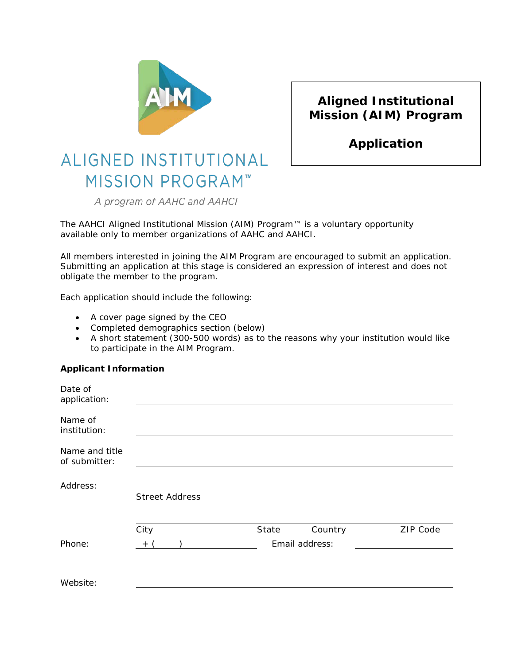

## **Aligned Institutional Mission (AIM) Program**

**Application**

# ALIGNED INSTITUTIONAL **MISSION PROGRAM™**

A program of AAHC and AAHCI

The AAHCI Aligned Institutional Mission (AIM) Program™ is a voluntary opportunity available only to member organizations of AAHC and AAHCI.

All members interested in joining the AIM Program are encouraged to submit an application. Submitting an application at this stage is considered an expression of interest and does not obligate the member to the program.

Each application should include the following:

- A cover page signed by the CEO
- Completed demographics section (below)
- A short statement (300-500 words) as to the reasons why your institution would like to participate in the AIM Program.

#### **Applicant Information**

| Date of<br>application:         |                       |       |                |          |
|---------------------------------|-----------------------|-------|----------------|----------|
| Name of<br>institution:         |                       |       |                |          |
| Name and title<br>of submitter: |                       |       |                |          |
| Address:                        | <b>Street Address</b> |       |                |          |
|                                 | City                  | State | Country        | ZIP Code |
| Phone:                          | $^{+}$                |       | Email address: |          |
| Website:                        |                       |       |                |          |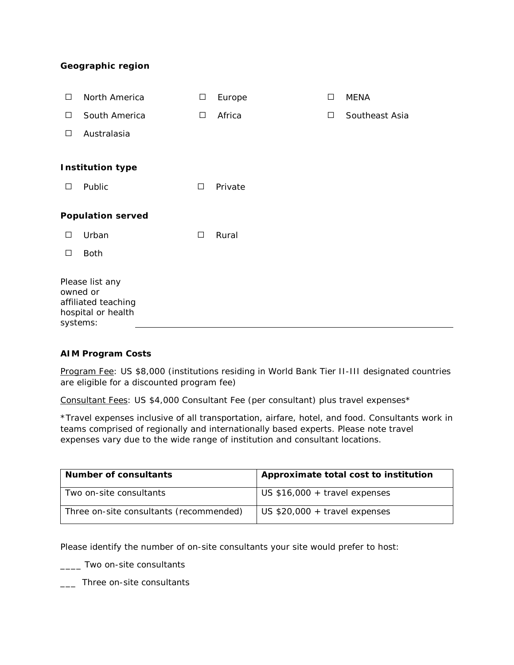#### **Geographic region**

| □                        | North America                                                | □      | Europe  | □ | <b>MENA</b>    |  |
|--------------------------|--------------------------------------------------------------|--------|---------|---|----------------|--|
| □                        | South America                                                | $\Box$ | Africa  | □ | Southeast Asia |  |
| □                        | Australasia                                                  |        |         |   |                |  |
|                          |                                                              |        |         |   |                |  |
|                          | <b>Institution type</b>                                      |        |         |   |                |  |
| □                        | Public                                                       | $\Box$ | Private |   |                |  |
| <b>Population served</b> |                                                              |        |         |   |                |  |
|                          |                                                              |        |         |   |                |  |
| □                        | Urban                                                        | $\Box$ | Rural   |   |                |  |
| □                        | <b>Both</b>                                                  |        |         |   |                |  |
| owned or<br>systems:     | Please list any<br>affiliated teaching<br>hospital or health |        |         |   |                |  |

#### **AIM Program Costs**

Program Fee: US \$8,000 (institutions residing in World Bank Tier II-III designated countries are eligible for a discounted program fee)

Consultant Fees: US \$4,000 Consultant Fee (per consultant) plus travel expenses\*

\*Travel expenses inclusive of all transportation, airfare, hotel, and food. Consultants work in teams comprised of regionally and internationally based experts. Please note travel expenses vary due to the wide range of institution and consultant locations.

| Number of consultants                   | Approximate total cost to institution |  |  |
|-----------------------------------------|---------------------------------------|--|--|
| Two on-site consultants                 | US $$16,000 + travel$ expenses        |  |  |
| Three on-site consultants (recommended) | US $$20,000 + travel$ expenses        |  |  |

Please identify the number of on-site consultants your site would prefer to host:

\_\_\_\_ Two on-site consultants

\_\_\_ Three on-site consultants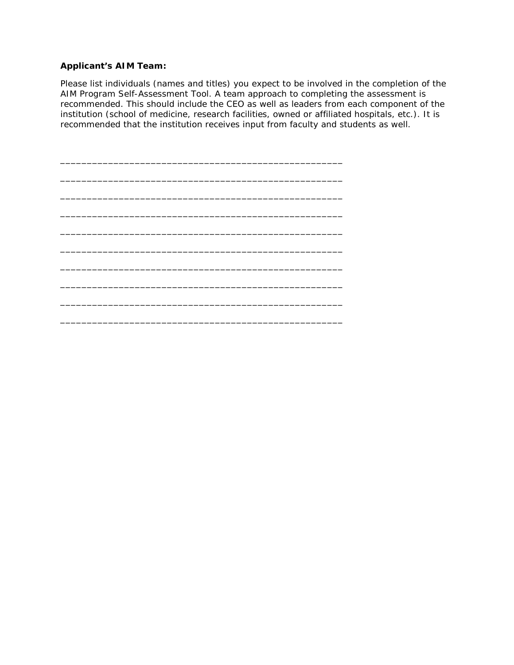#### **Applicant's AIM Team:**

Please list individuals (names and titles) you expect to be involved in the completion of the AIM Program Self-Assessment Tool. A team approach to completing the assessment is recommended. This should include the CEO as well as leaders from each component of the institution (school of medicine, research facilities, owned or affiliated hospitals, etc.). It is recommended that the institution receives input from faculty and students as well.